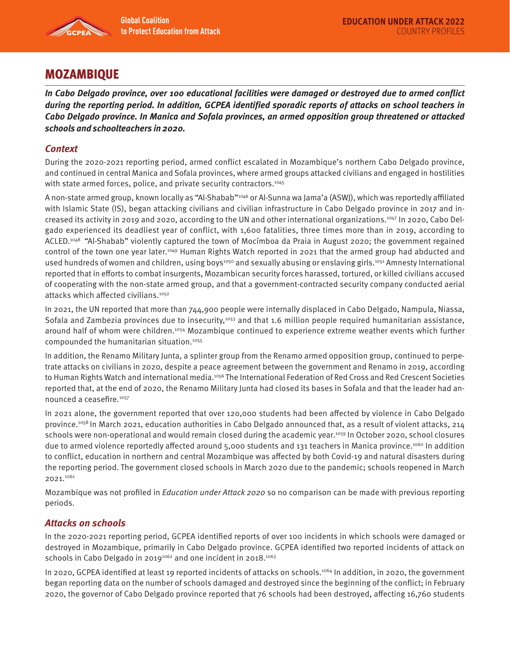

# MOZAMBIQUE

**In Cabo Delgado province, over 100 educational facilities were damaged or destroyed due to armed conflict during the reporting period. In addition, GCPEA identified sporadic reports of attacks on school teachers in Cabo Delgado province. In Manica and Sofala provinces, an armed opposition group threatened or attacked schools and schoolteachers in 2020.** 

## **Context**

During the 2020-2021 reporting period, armed conflict escalated in Mozambique's northern Cabo Delgado province, and continued in central Manica and Sofala provinces, where armed groups attacked civilians and engaged in hostilities with state armed forces, police, and private security contractors.<sup>1045</sup>

A non-state armed group, known locally as "Al-Shabab"1046 or Al-Sunna wa Jama'a (ASWJ), which was reportedly affiliated with Islamic State (IS), began attacking civilians and civilian infrastructure in Cabo Delgado province in 2017 and increased its activity in 2019 and 2020, according to the UN and other international organizations.1047 In 2020, Cabo Delgado experienced its deadliest year of conflict, with 1,600 fatalities, three times more than in 2019, according to ACLED.1048 "Al-Shabab" violently captured the town of Mocímboa da Praia in August 2020; the government regained control of the town one year later.1049 Human Rights Watch reported in 2021 that the armed group had abducted and used hundreds of women and children, using boys<sup>1050</sup> and sexually abusing or enslaving girls.<sup>1051</sup> Amnesty International reported that in efforts to combat insurgents, Mozambican security forces harassed, tortured, or killed civilians accused of cooperating with the non-state armed group, and that a government-contracted security company conducted aerial attacks which affected civilians.1052

In 2021, the UN reported that more than 744,900 people were internally displaced in Cabo Delgado, Nampula, Niassa, Sofala and Zambezia provinces due to insecurity,<sup>1053</sup> and that 1.6 million people required humanitarian assistance, around half of whom were children.1054 Mozambique continued to experience extreme weather events which further compounded the humanitarian situation.1055

In addition, the Renamo Military Junta, a splinter group from the Renamo armed opposition group, continued to perpetrate attacks on civilians in 2020, despite a peace agreement between the government and Renamo in 2019, according to Human Rights Watch and international media.<sup>1056</sup> The International Federation of Red Cross and Red Crescent Societies reported that, at the end of 2020, the Renamo Military Junta had closed its bases in Sofala and that the leader had announced a ceasefire.1057

In 2021 alone, the government reported that over 120,000 students had been affected by violence in Cabo Delgado province.1058 In March 2021, education authorities in Cabo Delgado announced that, as a result of violent attacks, 214 schools were non-operational and would remain closed during the academic year.<sup>1059</sup> In October 2020, school closures due to armed violence reportedly affected around 5,000 students and 131 teachers in Manica province.1060 In addition to conflict, education in northern and central Mozambique was affected by both Covid-19 and natural disasters during the reporting period. The government closed schools in March 2020 due to the pandemic; schools reopened in March 2021.1061

Mozambique was not profiled in *Education under Attack 2020* so no comparison can be made with previous reporting periods.

### **Attacks on schools**

In the 2020-2021 reporting period, GCPEA identified reports of over 100 incidents in which schools were damaged or destroyed in Mozambique, primarily in Cabo Delgado province. GCPEA identified two reported incidents of attack on schools in Cabo Delgado in 2019<sup>1062</sup> and one incident in 2018.<sup>1063</sup>

In 2020, GCPEA identified at least 19 reported incidents of attacks on schools.<sup>1064</sup> In addition, in 2020, the government began reporting data on the number of schools damaged and destroyed since the beginning of the conflict; in February 2020, the governor of Cabo Delgado province reported that 76 schools had been destroyed, affecting 16,760 students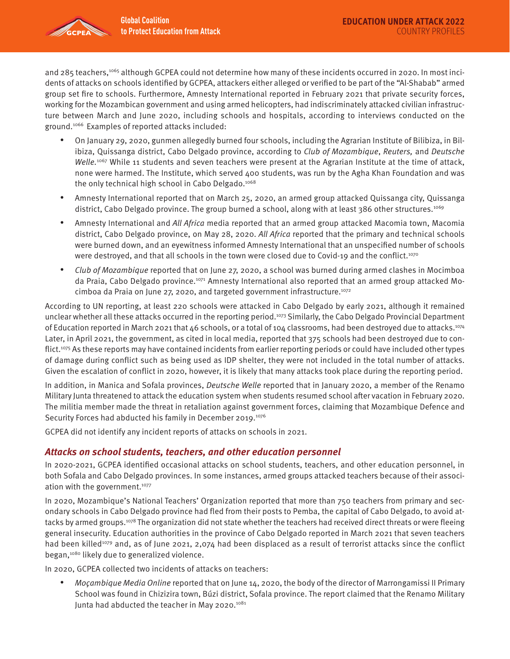

and 285 teachers,1065 although GCPEA could not determine how many of these incidents occurred in 2020. In most incidents of attacks on schools identified by GCPEA, attackers either alleged or verified to be part of the "Al-Shabab" armed group set fire to schools. Furthermore, Amnesty International reported in February 2021 that private security forces, working for the Mozambican government and using armed helicopters, had indiscriminately attacked civilian infrastructure between March and June 2020, including schools and hospitals, according to interviews conducted on the ground.1066 Examples of reported attacks included:

- On January 29, 2020, gunmen allegedly burned four schools, including the Agrarian Institute of Bilibiza, in Bilibiza, Quissanga district, Cabo Delgado province, according to Club of Mozambique, Reuters, and Deutsche Welle.<sup>1067</sup> While 11 students and seven teachers were present at the Agrarian Institute at the time of attack, none were harmed. The Institute, which served 400 students, was run by the Agha Khan Foundation and was the only technical high school in Cabo Delgado.1068
- Amnesty International reported that on March 25, 2020, an armed group attacked Quissanga city, Quissanga district, Cabo Delgado province. The group burned a school, along with at least 386 other structures.<sup>1069</sup>
- Amnesty International and All Africa media reported that an armed group attacked Macomia town, Macomia district, Cabo Delgado province, on May 28, 2020. All Africa reported that the primary and technical schools were burned down, and an eyewitness informed Amnesty International that an unspecified number of schools were destroyed, and that all schools in the town were closed due to Covid-19 and the conflict.<sup>1070</sup>
- Club of Mozambique reported that on June 27, 2020, a school was burned during armed clashes in Mocimboa da Praia, Cabo Delgado province.1071 Amnesty International also reported that an armed group attacked Mocimboa da Praia on June 27, 2020, and targeted government infrastructure.<sup>1072</sup>

According to UN reporting, at least 220 schools were attacked in Cabo Delgado by early 2021, although it remained unclear whether all these attacks occurred in the reporting period.1073 Similarly, the Cabo Delgado Provincial Department of Education reported in March 2021 that 46 schools, or a total of 104 classrooms, had been destroyed due to attacks.<sup>1074</sup> Later, in April 2021, the government, as cited in local media, reported that 375 schools had been destroyed due to conflict.1075 As these reports may have contained incidents from earlier reporting periods or could have included other types of damage during conflict such as being used as IDP shelter, they were not included in the total number of attacks. Given the escalation of conflict in 2020, however, it is likely that many attacks took place during the reporting period.

In addition, in Manica and Sofala provinces, *Deutsche Welle* reported that in January 2020, a member of the Renamo Military Junta threatened to attack the education system when students resumed school after vacation in February 2020. The militia member made the threat in retaliation against government forces, claiming that Mozambique Defence and Security Forces had abducted his family in December 2019.<sup>1076</sup>

GCPEA did not identify any incident reports of attacks on schools in 2021.

### **Attacks on school students, teachers, and other education personnel**

In 2020-2021, GCPEA identified occasional attacks on school students, teachers, and other education personnel, in both Sofala and Cabo Delgado provinces. In some instances, armed groups attacked teachers because of their association with the government.<sup>1077</sup>

In 2020, Mozambique's National Teachers' Organization reported that more than 750 teachers from primary and secondary schools in Cabo Delgado province had fled from their posts to Pemba, the capital of Cabo Delgado, to avoid attacks by armed groups.<sup>1078</sup> The organization did not state whether the teachers had received direct threats or were fleeing general insecurity. Education authorities in the province of Cabo Delgado reported in March 2021 that seven teachers had been killed<sup>1079</sup> and, as of June 2021, 2,074 had been displaced as a result of terrorist attacks since the conflict began,<sup>1080</sup> likely due to generalized violence.

In 2020, GCPEA collected two incidents of attacks on teachers:

• Moçambique Media Online reported that on June 14, 2020, the body of the director of Marrongamissi II Primary School was found in Chizizira town, Búzi district, Sofala province. The report claimed that the Renamo Military Junta had abducted the teacher in May 2020.<sup>1081</sup>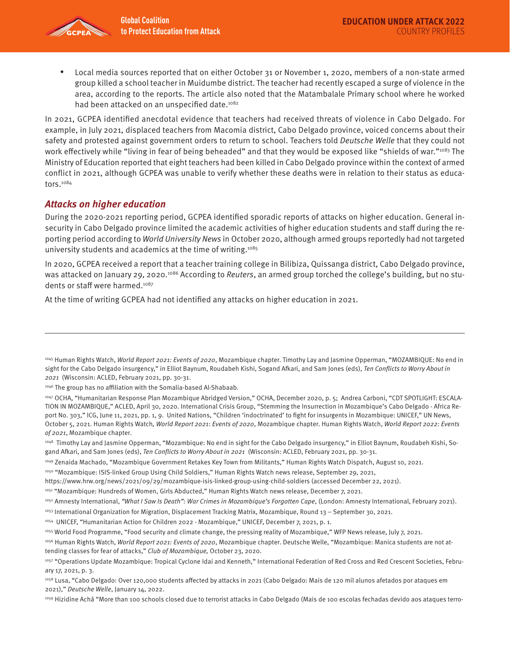

• Local media sources reported that on either October 31 or November 1, 2020, members of a non-state armed group killed a school teacher in Muidumbe district. The teacher had recently escaped a surge of violence in the area, according to the reports. The article also noted that the Matambalale Primary school where he worked had been attacked on an unspecified date.<sup>1082</sup>

In 2021, GCPEA identified anecdotal evidence that teachers had received threats of violence in Cabo Delgado. For example, in July 2021, displaced teachers from Macomia district, Cabo Delgado province, voiced concerns about their safety and protested against government orders to return to school. Teachers told Deutsche Welle that they could not work effectively while "living in fear of being beheaded" and that they would be exposed like "shields of war."<sup>1083</sup> The Ministry of Education reported that eight teachers had been killed in Cabo Delgado province within the context of armed conflict in 2021, although GCPEA was unable to verify whether these deaths were in relation to their status as educators.1084

#### **Attacks on higher education**

During the 2020-2021 reporting period, GCPEA identified sporadic reports of attacks on higher education. General insecurity in Cabo Delgado province limited the academic activities of higher education students and staff during the reporting period according to World University News in October 2020, although armed groups reportedly had not targeted university students and academics at the time of writing.1085

In 2020, GCPEA received a report that a teacher training college in Bilibiza, Quissanga district, Cabo Delgado province, was attacked on January 29, 2020.<sup>1086</sup> According to Reuters, an armed group torched the college's building, but no students or staff were harmed.<sup>1087</sup>

At the time of writing GCPEA had not identified any attacks on higher education in 2021.

<sup>&</sup>lt;sup>1045</sup> Human Rights Watch, *World Report 2021: Events of 2020*, Mozambique chapter. Timothy Lay and Jasmine Opperman, "MOZAMBIQUE: No end in sight for the Cabo Delgado insurgency," in Elliot Baynum, Roudabeh Kishi, Sogand Afkari, and Sam Jones (eds), Ten Conflicts to Worry About in 2021 (Wisconsin: ACLED, February 2021, pp. 30-31.

<sup>1046</sup> The group has no affiliation with the Somalia-based Al-Shabaab.

<sup>1047</sup> OCHA, "Humanitarian Response Plan Mozambique Abridged Version," OCHA, December 2020, p. 5; Andrea Carboni, "CDT SPOTLIGHT: ESCALA-TION IN MOZAMBIQUE," ACLED, April 30, 2020. International Crisis Group, "Stemming the Insurrection in Mozambique's Cabo Delgado - Africa Report No. 303," ICG, June 11, 2021, pp. 1, 9. United Nations, "Children 'indoctrinated' to fight for insurgents in Mozambique: UNICEF," UN News, October 5, 2021. Human Rights Watch, World Report 2021: Events of 2020, Mozambique chapter. Human Rights Watch, World Report 2022: Events of 2021, Mozambique chapter.

<sup>1048</sup> Timothy Lay and Jasmine Opperman, "Mozambique: No end in sight for the Cabo Delgado insurgency," in Elliot Baynum, Roudabeh Kishi, Sogand Afkari, and Sam Jones (eds), Ten Conflicts to Worry About in 2021 (Wisconsin: ACLED, February 2021, pp. 30-31.

<sup>1049</sup> Zenaida Machado, "Mozambique Government Retakes Key Town from Militants," Human Rights Watch Dispatch, August 10, 2021.

<sup>1050 &</sup>quot;Mozambique: ISIS-linked Group Using Child Soldiers," Human Rights Watch news release, September 29, 2021,

https://www.hrw.org/news/2021/09/29/mozambique-isis-linked-group-using-child-soldiers (accessed December 22, 2021).

<sup>1051 &</sup>quot;Mozambique: Hundreds of Women, Girls Abducted," Human Rights Watch news release, December 7, 2021.

<sup>&</sup>lt;sup>1052</sup> Amnesty International, "What I Saw Is Death": War Crimes in Mozambique's Forgotten Cape, (London: Amnesty International, February 2021).

<sup>1053</sup> International Organization for Migration, Displacement Tracking Matrix, Mozambique, Round 13 – September 30, 2021.

<sup>1054</sup> UNICEF, "Humanitarian Action for Children 2022 - Mozambique," UNICEF, December 7, 2021, p. 1.

<sup>1055</sup> World Food Programme, "Food security and climate change, the pressing reality of Mozambique," WFP News release, July 7, 2021.

<sup>1056</sup> Human Rights Watch, World Report 2021: Events of 2020, Mozambique chapter. Deutsche Welle, "Mozambique: Manica students are not attending classes for fear of attacks," Club of Mozambique, October 23, 2020.

<sup>1057 &</sup>quot;Operations Update Mozambique: Tropical Cyclone Idai and Kenneth," International Federation of Red Cross and Red Crescent Societies, February 17, 2021, p. 3.

<sup>1058</sup> Lusa, "Cabo Delgado: Over 120,000 students affected by attacks in 2021 (Cabo Delgado: Mais de 120 mil alunos afetados por ataques em 2021)," Deutsche Welle, January 14, 2022.

<sup>1059</sup> Hizidine Achá "More than 100 schools closed due to terrorist attacks in Cabo Delgado (Mais de 100 escolas fechadas devido aos ataques terro-